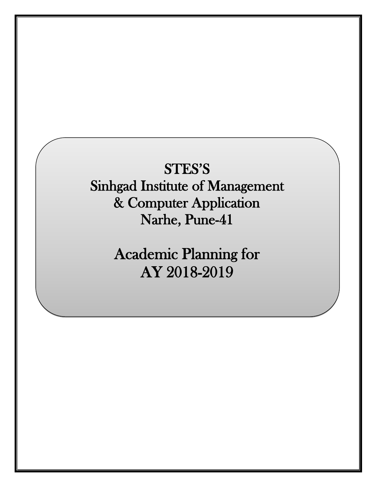# STES'S Sinhgad Institute of Management & Computer Application Narhe, Pune-41

Academic Planning for AY 2018-2019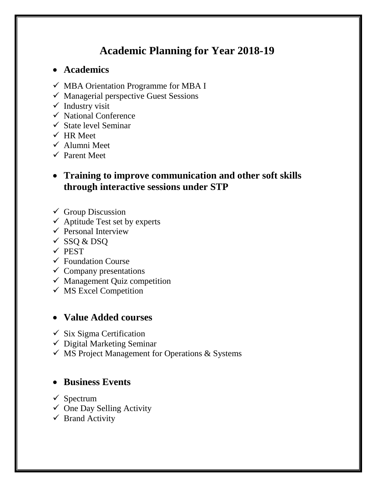## **Academic Planning for Year 2018-19**

## **Academics**

- $\checkmark$  MBA Orientation Programme for MBA I
- $\checkmark$  Managerial perspective Guest Sessions
- $\checkmark$  Industry visit
- $\checkmark$  National Conference
- $\checkmark$  State level Seminar
- $\checkmark$  HR Meet
- $\checkmark$  Alumni Meet
- $\checkmark$  Parent Meet

## **Training to improve communication and other soft skills through interactive sessions under STP**

- $\checkmark$  Group Discussion
- $\checkmark$  Aptitude Test set by experts
- $\checkmark$  Personal Interview
- $\checkmark$  SSQ & DSQ
- $\checkmark$  PEST
- $\checkmark$  Foundation Course
- $\checkmark$  Company presentations
- $\checkmark$  Management Quiz competition
- $\checkmark$  MS Excel Competition

## **Value Added courses**

- $\checkmark$  Six Sigma Certification
- $\checkmark$  Digital Marketing Seminar
- $\checkmark$  MS Project Management for Operations & Systems

## **• Business Events**

- $\checkmark$  Spectrum
- $\checkmark$  One Day Selling Activity
- $\checkmark$  Brand Activity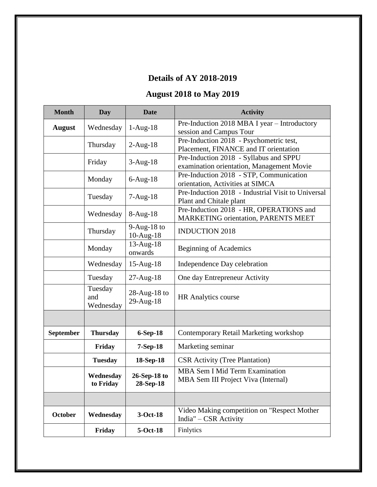## **Details of AY 2018-2019**

## **August 2018 to May 2019**

| <b>Month</b>  | Day                         | <b>Date</b>                  | <b>Activity</b>                                                                       |
|---------------|-----------------------------|------------------------------|---------------------------------------------------------------------------------------|
| <b>August</b> | Wednesday                   | $1-Aug-18$                   | Pre-Induction 2018 MBA I year - Introductory<br>session and Campus Tour               |
|               | Thursday                    | $2-Aug-18$                   | Pre-Induction 2018 - Psychometric test,<br>Placement, FINANCE and IT orientation      |
|               | Friday                      | $3-Aug-18$                   | Pre-Induction 2018 - Syllabus and SPPU<br>examination orientation, Management Movie   |
|               | Monday                      | $6-Aug-18$                   | Pre-Induction 2018 - STP, Communication<br>orientation, Activities at SIMCA           |
|               | Tuesday                     | $7-Aug-18$                   | Pre-Induction 2018 - Industrial Visit to Universal<br>Plant and Chitale plant         |
|               | Wednesday                   | $8-Aug-18$                   | Pre-Induction 2018 - HR, OPERATIONS and<br><b>MARKETING orientation, PARENTS MEET</b> |
|               | Thursday                    | $9-Aug-18$ to<br>$10-Aug-18$ | <b>INDUCTION 2018</b>                                                                 |
|               | Monday                      | 13-Aug-18<br>onwards         | <b>Beginning of Academics</b>                                                         |
|               | Wednesday                   | $15$ -Aug- $18$              | Independence Day celebration                                                          |
|               | Tuesday                     | $27 - Aug-18$                | One day Entrepreneur Activity                                                         |
|               | Tuesday<br>and<br>Wednesday | $28$ -Aug-18 to<br>29-Aug-18 | <b>HR</b> Analytics course                                                            |
|               |                             |                              |                                                                                       |
| September     | <b>Thursday</b>             | 6-Sep-18                     | Contemporary Retail Marketing workshop                                                |
|               | Friday                      | $7-Sep-18$                   | Marketing seminar                                                                     |
|               | <b>Tuesday</b>              | 18-Sep-18                    | <b>CSR</b> Activity (Tree Plantation)                                                 |
|               | Wednesday<br>to Friday      | 26-Sep-18 to<br>28-Sep-18    | MBA Sem I Mid Term Examination<br>MBA Sem III Project Viva (Internal)                 |
|               |                             |                              |                                                                                       |
| October       | Wednesday                   | 3-Oct-18                     | Video Making competition on "Respect Mother<br>India" – CSR Activity                  |
|               | Friday                      | 5-Oct-18                     | Finlytics                                                                             |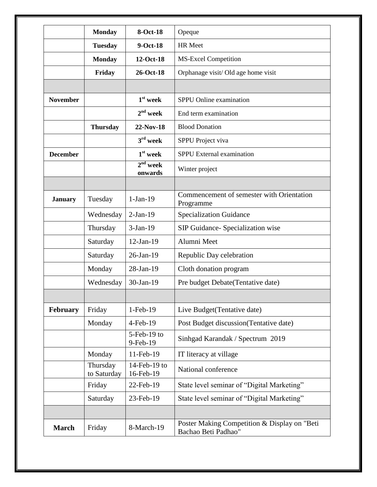|                 | <b>Monday</b>           | 8-Oct-18                   | Opeque                                                              |
|-----------------|-------------------------|----------------------------|---------------------------------------------------------------------|
|                 | <b>Tuesday</b>          | 9-Oct-18                   | <b>HR</b> Meet                                                      |
|                 | <b>Monday</b>           | 12-Oct-18                  | <b>MS-Excel Competition</b>                                         |
|                 | Friday                  | 26-Oct-18                  | Orphanage visit/ Old age home visit                                 |
|                 |                         |                            |                                                                     |
| <b>November</b> |                         | $1st$ week                 | SPPU Online examination                                             |
|                 |                         | $2nd$ week                 | End term examination                                                |
|                 | <b>Thursday</b>         | 22-Nov-18                  | <b>Blood Donation</b>                                               |
|                 |                         | $3rd$ week                 | SPPU Project viva                                                   |
| <b>December</b> |                         | $1st$ week                 | <b>SPPU</b> External examination                                    |
|                 |                         | $2nd$ week<br>onwards      | Winter project                                                      |
|                 |                         |                            |                                                                     |
| <b>January</b>  | Tuesday                 | $1-Jan-19$                 | Commencement of semester with Orientation<br>Programme              |
|                 | Wednesday               | $2-Jan-19$                 | <b>Specialization Guidance</b>                                      |
|                 | Thursday                | $3-Jan-19$                 | SIP Guidance- Specialization wise                                   |
|                 | Saturday                | $12-Jan-19$                | Alumni Meet                                                         |
|                 | Saturday                | $26$ -Jan-19               | Republic Day celebration                                            |
|                 | Monday                  | 28-Jan-19                  | Cloth donation program                                              |
|                 | Wednesday               | $30-Jan-19$                | Pre budget Debate (Tentative date)                                  |
|                 |                         |                            |                                                                     |
| February        | Friday                  | 1-Feb-19                   | Live Budget(Tentative date)                                         |
|                 | Monday                  | $4$ -Feb-19                | Post Budget discussion(Tentative date)                              |
|                 |                         | $5$ -Feb-19 to<br>9-Feb-19 | Sinhgad Karandak / Spectrum 2019                                    |
|                 | Monday                  | 11-Feb-19                  | IT literacy at village                                              |
|                 | Thursday<br>to Saturday | 14-Feb-19 to<br>16-Feb-19  | National conference                                                 |
|                 | Friday                  | 22-Feb-19                  | State level seminar of "Digital Marketing"                          |
|                 | Saturday                | 23-Feb-19                  | State level seminar of "Digital Marketing"                          |
|                 |                         |                            |                                                                     |
| <b>March</b>    | Friday                  | 8-March-19                 | Poster Making Competition & Display on "Beti<br>Bachao Beti Padhao" |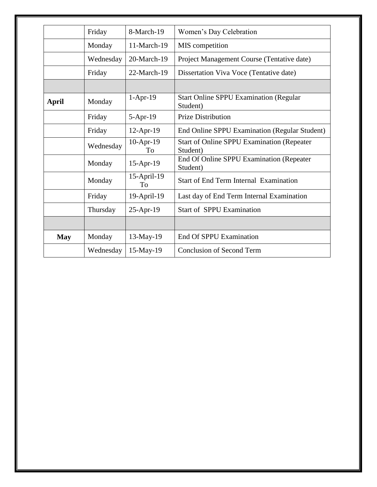|            | Friday    | 8-March-19        | Women's Day Celebration                                       |
|------------|-----------|-------------------|---------------------------------------------------------------|
|            | Monday    | 11-March-19       | MIS competition                                               |
|            | Wednesday | 20-March-19       | Project Management Course (Tentative date)                    |
|            | Friday    | 22-March-19       | Dissertation Viva Voce (Tentative date)                       |
|            |           |                   |                                                               |
| April      | Monday    | $1-Apr-19$        | <b>Start Online SPPU Examination (Regular</b><br>Student)     |
|            | Friday    | $5-Apr-19$        | <b>Prize Distribution</b>                                     |
|            | Friday    | 12-Apr-19         | End Online SPPU Examination (Regular Student)                 |
|            | Wednesday | $10-Apr-19$<br>To | <b>Start of Online SPPU Examination (Repeater</b><br>Student) |
|            | Monday    | $15$ -Apr-19      | End Of Online SPPU Examination (Repeater<br>Student)          |
|            | Monday    | 15-April-19<br>To | <b>Start of End Term Internal Examination</b>                 |
|            | Friday    | 19-April-19       | Last day of End Term Internal Examination                     |
|            | Thursday  | 25-Apr-19         | <b>Start of SPPU Examination</b>                              |
|            |           |                   |                                                               |
| <b>May</b> | Monday    | 13-May-19         | End Of SPPU Examination                                       |
|            | Wednesday | $15$ -May-19      | <b>Conclusion of Second Term</b>                              |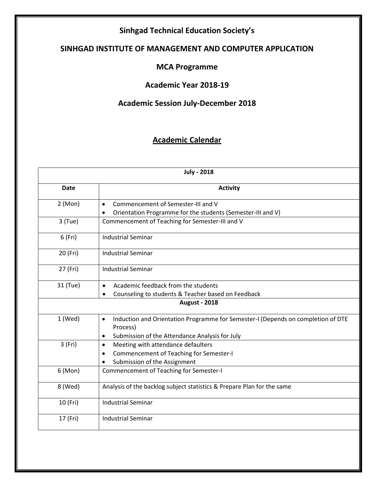## **Sinhgad Technical Education Society's**

## **SINHGAD INSTITUTE OF MANAGEMENT AND COMPUTER APPLICATION**

#### **MCA Programme**

### **Academic Year 2018-19**

## **Academic Session July-December 2018**

## **Academic Calendar**

|           | <b>July - 2018</b>                                                                            |  |  |
|-----------|-----------------------------------------------------------------------------------------------|--|--|
| Date      | <b>Activity</b>                                                                               |  |  |
| 2 (Mon)   | Commencement of Semester-III and V<br>$\bullet$                                               |  |  |
|           | Orientation Programme for the students (Semester-III and V)                                   |  |  |
| $3$ (Tue) | Commencement of Teaching for Semester-III and V                                               |  |  |
| 6 (Fri)   | <b>Industrial Seminar</b>                                                                     |  |  |
| 20 (Fri)  | <b>Industrial Seminar</b>                                                                     |  |  |
| 27 (Fri)  | <b>Industrial Seminar</b>                                                                     |  |  |
| 31 (Tue)  | Academic feedback from the students                                                           |  |  |
|           | Counseling to students & Teacher based on Feedback                                            |  |  |
|           | <b>August - 2018</b>                                                                          |  |  |
| $1$ (Wed) | Induction and Orientation Programme for Semester-I (Depends on completion of DTE<br>$\bullet$ |  |  |
|           | Process)                                                                                      |  |  |
|           | Submission of the Attendance Analysis for July<br>$\bullet$                                   |  |  |
| 3 (Fri)   | Meeting with attendance defaulters<br>$\bullet$                                               |  |  |
|           | Commencement of Teaching for Semester-I<br>$\bullet$                                          |  |  |
|           | Submission of the Assignment                                                                  |  |  |
| 6 (Mon)   | Commencement of Teaching for Semester-I                                                       |  |  |
| 8 (Wed)   | Analysis of the backlog subject statistics & Prepare Plan for the same                        |  |  |
| 10 (Fri)  | <b>Industrial Seminar</b>                                                                     |  |  |
| 17 (Fri)  | <b>Industrial Seminar</b>                                                                     |  |  |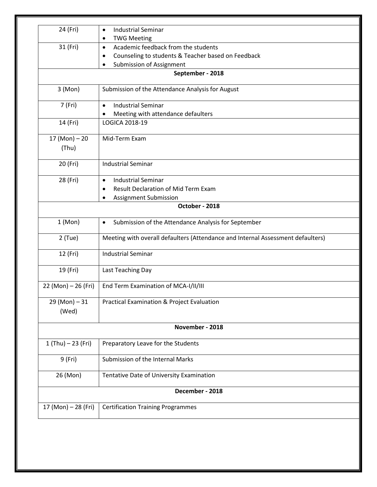| 24 (Fri)             | <b>Industrial Seminar</b><br>$\bullet$<br><b>TWG Meeting</b>                    |
|----------------------|---------------------------------------------------------------------------------|
| 31 (Fri)             | Academic feedback from the students<br>$\bullet$                                |
|                      | Counseling to students & Teacher based on Feedback<br>٠                         |
|                      | <b>Submission of Assignment</b>                                                 |
|                      | September - 2018                                                                |
| 3 (Mon)              | Submission of the Attendance Analysis for August                                |
|                      |                                                                                 |
| 7 (Fri)              | <b>Industrial Seminar</b><br>$\bullet$                                          |
|                      | Meeting with attendance defaulters<br>$\bullet$<br>LOGICA 2018-19               |
| 14 (Fri)             |                                                                                 |
| $17 (Mon) - 20$      | Mid-Term Exam                                                                   |
| (Thu)                |                                                                                 |
| 20 (Fri)             | <b>Industrial Seminar</b>                                                       |
| 28 (Fri)             | <b>Industrial Seminar</b><br>$\bullet$                                          |
|                      | <b>Result Declaration of Mid Term Exam</b><br>$\bullet$                         |
|                      |                                                                                 |
|                      | Assignment Submission<br>October - 2018                                         |
|                      |                                                                                 |
| 1 (Mon)              | Submission of the Attendance Analysis for September<br>$\bullet$                |
| $2$ (Tue)            | Meeting with overall defaulters (Attendance and Internal Assessment defaulters) |
| 12 (Fri)             | <b>Industrial Seminar</b>                                                       |
| 19 (Fri)             | Last Teaching Day                                                               |
| 22 (Mon) - 26 (Fri)  | End Term Examination of MCA-I/II/III                                            |
| $29 (Mon) - 31$      | Practical Examination & Project Evaluation                                      |
| (Wed)                |                                                                                 |
|                      | November - 2018                                                                 |
| $1 (Thu) - 23 (Fri)$ | Preparatory Leave for the Students                                              |
| 9 (Fri)              | Submission of the Internal Marks                                                |
| 26 (Mon)             | Tentative Date of University Examination                                        |
|                      | December - 2018                                                                 |
| 17 (Mon) – 28 (Fri)  | <b>Certification Training Programmes</b>                                        |
|                      |                                                                                 |
|                      |                                                                                 |
|                      |                                                                                 |
|                      |                                                                                 |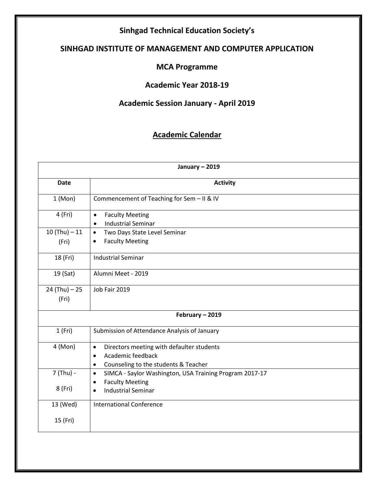## **Sinhgad Technical Education Society's**

## **SINHGAD INSTITUTE OF MANAGEMENT AND COMPUTER APPLICATION**

#### **MCA Programme**

### **Academic Year 2018-19**

## **Academic Session January - April 2019**

## **Academic Calendar**

|                 | January - 2019                                                                                                                                |
|-----------------|-----------------------------------------------------------------------------------------------------------------------------------------------|
| <b>Date</b>     | <b>Activity</b>                                                                                                                               |
| 1 (Mon)         | Commencement of Teaching for Sem - II & IV                                                                                                    |
| 4 (Fri)         | <b>Faculty Meeting</b><br>$\bullet$<br><b>Industrial Seminar</b><br>$\bullet$                                                                 |
| $10 (Thu) - 11$ | Two Days State Level Seminar<br>$\bullet$                                                                                                     |
| (Fri)           | <b>Faculty Meeting</b><br>$\bullet$                                                                                                           |
| 18 (Fri)        | <b>Industrial Seminar</b>                                                                                                                     |
| 19 (Sat)        | Alumni Meet - 2019                                                                                                                            |
| $24 (Thu) - 25$ | Job Fair 2019                                                                                                                                 |
| (Fri)           |                                                                                                                                               |
|                 | February - 2019                                                                                                                               |
| 1(Fri)          | Submission of Attendance Analysis of January                                                                                                  |
| 4 (Mon)         | Directors meeting with defaulter students<br>$\bullet$<br>Academic feedback<br>$\bullet$<br>Counseling to the students & Teacher<br>$\bullet$ |
| 7 (Thu) -       | SIMCA - Saylor Washington, USA Training Program 2017-17<br>$\bullet$<br><b>Faculty Meeting</b><br>$\bullet$                                   |
| 8 (Fri)         | <b>Industrial Seminar</b><br>$\bullet$                                                                                                        |
| 13 (Wed)        | <b>International Conference</b>                                                                                                               |
| 15 (Fri)        |                                                                                                                                               |